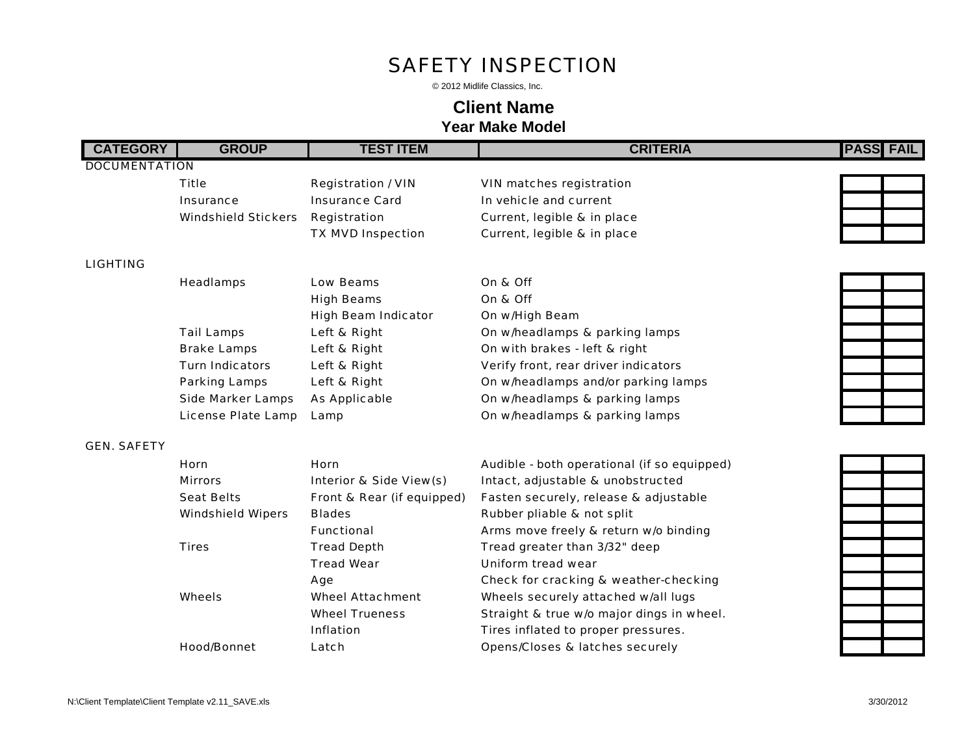### *SAFETY INSPECTION*

© 2012 Midlife Classics, Inc.

## **Client Name**

**Year Make Model**

### **CATEGORY GROUP TEST ITEM CRITERIA PASS FAIL**

### *DOCUMENTATION*

*Title Registration / VIN VIN matches registration Insurance Insurance Card In vehicle and currentWindshield Stickers Registration Current, legible & in place TX MVD Inspection Current, legible & in place*

*LIGHTING*

| <b>Headlamps</b>         | <b>Low Beams</b>           | On & Off                             |
|--------------------------|----------------------------|--------------------------------------|
|                          | <b>High Beams</b>          | On & Off                             |
|                          | <b>High Beam Indicator</b> | On w/High Beam                       |
| <b>Tail Lamps</b>        | Left & Right               | On w/headlamps & parking lamps       |
| <b>Brake Lamps</b>       | Left & Right               | On with brakes - left & right        |
| <b>Turn Indicators</b>   | Left & Right               | Verify front, rear driver indicators |
| <b>Parking Lamps</b>     | <b>Left &amp; Right</b>    | On w/headlamps and/or parking lamps  |
| <b>Side Marker Lamps</b> | <b>As Applicable</b>       | On w/headlamps & parking lamps       |
| License Plate Lamp       | Lamp                       | On w/headlamps & parking lamps       |

### *GEN. SAFETY*

| <b>Horn</b>              | <b>Horn</b>                        | Audible - both operational (if so equipp   |
|--------------------------|------------------------------------|--------------------------------------------|
| <b>Mirrors</b>           | <b>Interior &amp; Side View(s)</b> | Intact, adjustable & unobstructed          |
| <b>Seat Belts</b>        | Front & Rear (if equipped)         | Fasten securely, release & adjustable      |
| <b>Windshield Wipers</b> | <b>Blades</b>                      | Rubber pliable & not split                 |
|                          | <b>Functional</b>                  | Arms move freely & return w/o binding      |
| <b>Tires</b>             | <b>Tread Depth</b>                 | Tread greater than 3/32" deep              |
|                          | <b>Tread Wear</b>                  | Uniform tread wear                         |
|                          | Age                                | Check for cracking & weather-checkir       |
| <b>Wheels</b>            | <b>Wheel Attachment</b>            | Wheels securely attached w/all lugs        |
|                          | <b>Wheel Trueness</b>              | Straight & true w/o major dings in whe     |
|                          | <i>Inflation</i>                   | Tires inflated to proper pressures.        |
| <b>Hood/Bonnet</b>       | Latch                              | <b>Opens/Closes &amp; latches securely</b> |

# *High Beams On & Off High Beam Indicator On w/High Beam Tail Lamps Left & Right On w/headlamps & parking lamps Verify front, rear driver indicators Side Marker Lamps As Applicable On w/headlamps & parking lamps*

 $equipped)$ *Age Check for cracking & weather-checking in wheel.* 

**PASS FAIL** 

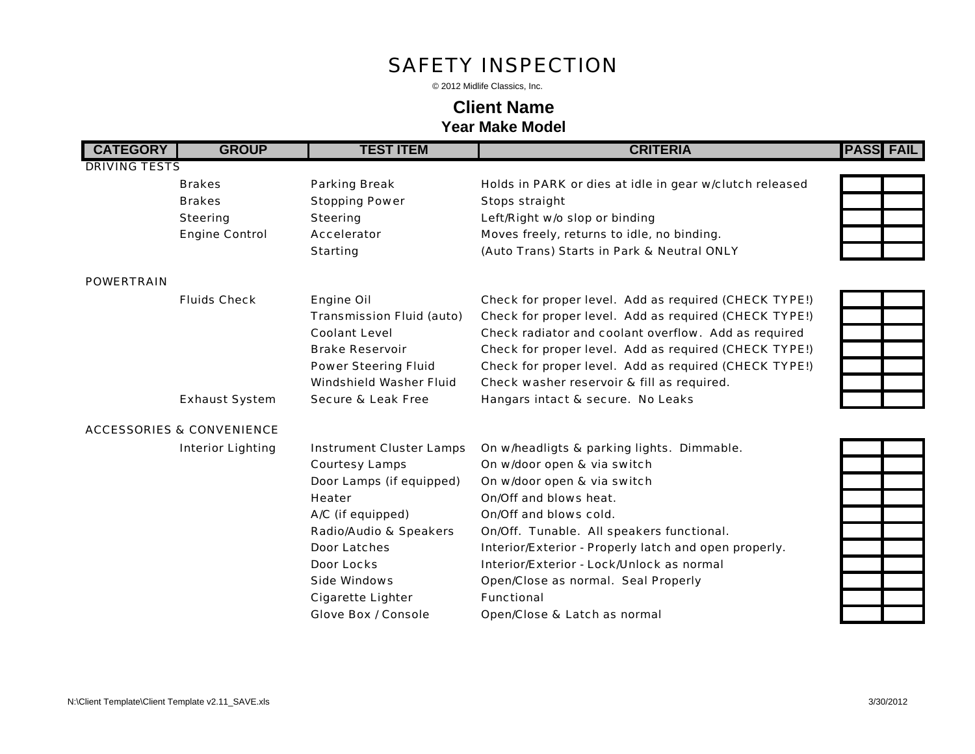### *SAFETY INSPECTION*

© 2012 Midlife Classics, Inc.

## **Client Name**

**Year Make Model**

| <b>CATEGORY</b>      | <b>GROUP</b>                         | <b>TEST ITEM</b>                  | <b>CRITERIA</b>                                         | <b>PASS FAIL</b> |  |
|----------------------|--------------------------------------|-----------------------------------|---------------------------------------------------------|------------------|--|
| <b>DRIVING TESTS</b> |                                      |                                   |                                                         |                  |  |
|                      | <b>Brakes</b>                        | <b>Parking Break</b>              | Holds in PARK or dies at idle in gear w/clutch released |                  |  |
|                      | <b>Brakes</b>                        | <b>Stopping Power</b>             | <b>Stops straight</b>                                   |                  |  |
|                      | <b>Steering</b>                      | <b>Steering</b>                   | Left/Right w/o slop or binding                          |                  |  |
|                      | <b>Engine Control</b>                | <b>Accelerator</b>                | Moves freely, returns to idle, no binding.              |                  |  |
|                      |                                      | <b>Starting</b>                   | (Auto Trans) Starts in Park & Neutral ONLY              |                  |  |
| <b>POWERTRAIN</b>    |                                      |                                   |                                                         |                  |  |
|                      | <b>Fluids Check</b>                  | <b>Engine Oil</b>                 | Check for proper level. Add as required (CHECK TYPE!)   |                  |  |
|                      |                                      | <b>Transmission Fluid (auto)</b>  | Check for proper level. Add as required (CHECK TYPE!)   |                  |  |
|                      |                                      | <b>Coolant Level</b>              | Check radiator and coolant overflow. Add as required    |                  |  |
|                      |                                      | <b>Brake Reservoir</b>            | Check for proper level. Add as required (CHECK TYPE!)   |                  |  |
|                      |                                      | <b>Power Steering Fluid</b>       | Check for proper level. Add as required (CHECK TYPE!)   |                  |  |
|                      |                                      | <b>Windshield Washer Fluid</b>    | Check washer reservoir & fill as required.              |                  |  |
|                      | <b>Exhaust System</b>                | <b>Secure &amp; Leak Free</b>     | Hangars intact & secure. No Leaks                       |                  |  |
|                      | <b>ACCESSORIES &amp; CONVENIENCE</b> |                                   |                                                         |                  |  |
|                      | <b>Interior Lighting</b>             | <b>Instrument Cluster Lamps</b>   | On w/headligts & parking lights. Dimmable.              |                  |  |
|                      |                                      | <b>Courtesy Lamps</b>             | On w/door open & via switch                             |                  |  |
|                      |                                      | Door Lamps (if equipped)          | On w/door open & via switch                             |                  |  |
|                      |                                      | <b>Heater</b>                     | On/Off and blows heat.                                  |                  |  |
|                      |                                      | A/C (if equipped)                 | On/Off and blows cold.                                  |                  |  |
|                      |                                      | <b>Radio/Audio &amp; Speakers</b> | On/Off. Tunable. All speakers functional.               |                  |  |
|                      |                                      | <b>Door Latches</b>               | Interior/Exterior - Properly latch and open properly.   |                  |  |
|                      |                                      | <b>Door Locks</b>                 | Interior/Exterior - Lock/Unlock as normal               |                  |  |
|                      |                                      | <b>Side Windows</b>               | <b>Open/Close as normal. Seal Properly</b>              |                  |  |
|                      |                                      | <b>Cigarette Lighter</b>          | <b>Functional</b>                                       |                  |  |
|                      |                                      | <b>Glove Box / Console</b>        | Open/Close & Latch as normal                            |                  |  |